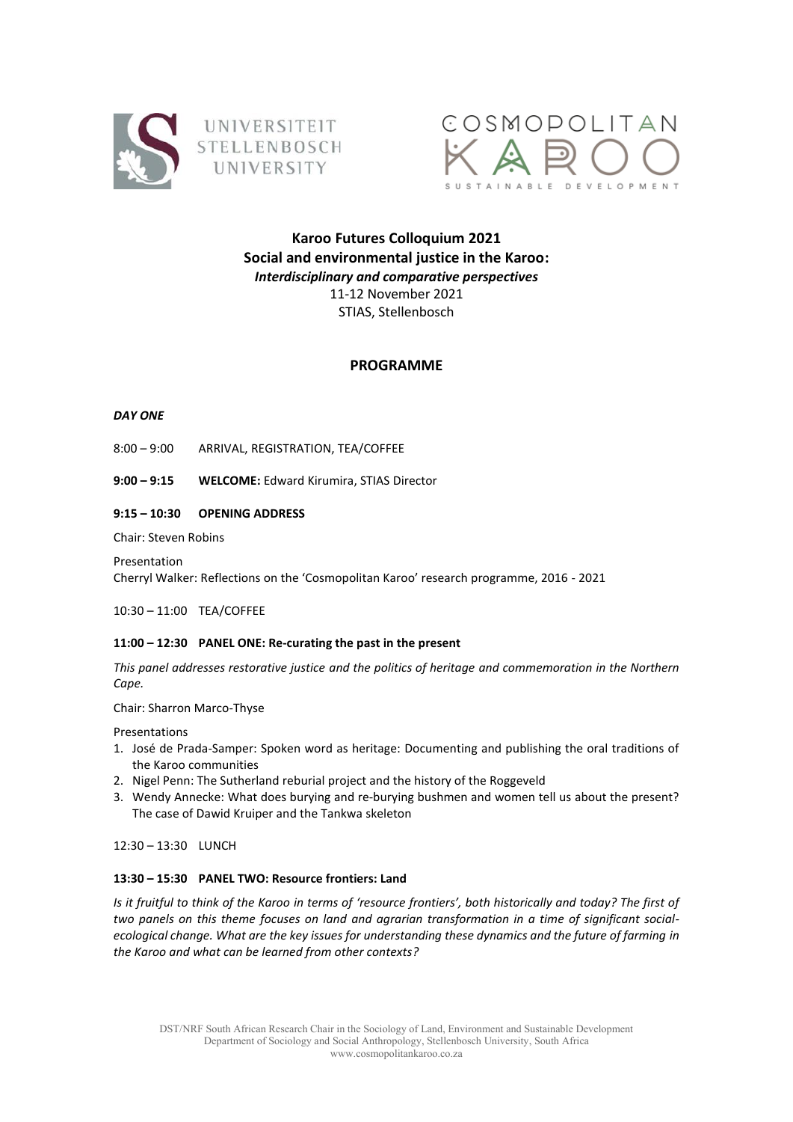



# **Karoo Futures Colloquium 2021 Social and environmental justice in the Karoo:** *Interdisciplinary and comparative perspectives* 11-12 November 2021 STIAS, Stellenbosch

## **PROGRAMME**

## *DAY ONE*

- 8:00 9:00 ARRIVAL, REGISTRATION, TEA/COFFEE
- **9:00 – 9:15 WELCOME:** Edward Kirumira, STIAS Director

## **9:15 – 10:30 OPENING ADDRESS**

Chair: Steven Robins

Presentation

Cherryl Walker: Reflections on the 'Cosmopolitan Karoo' research programme, 2016 - 2021

10:30 – 11:00 TEA/COFFEE

## **11:00 – 12:30 PANEL ONE: Re-curating the past in the present**

*This panel addresses restorative justice and the politics of heritage and commemoration in the Northern Cape.*

Chair: Sharron Marco-Thyse

Presentations

- 1. José de Prada-Samper: Spoken word as heritage: Documenting and publishing the oral traditions of the Karoo communities
- 2. Nigel Penn: The Sutherland reburial project and the history of the Roggeveld
- 3. Wendy Annecke: What does burying and re-burying bushmen and women tell us about the present? The case of Dawid Kruiper and the Tankwa skeleton

12:30 – 13:30 LUNCH

## **13:30 – 15:30 PANEL TWO: Resource frontiers: Land**

*Is it fruitful to think of the Karoo in terms of 'resource frontiers', both historically and today? The first of two panels on this theme focuses on land and agrarian transformation in a time of significant socialecological change. What are the key issues for understanding these dynamics and the future of farming in the Karoo and what can be learned from other contexts?*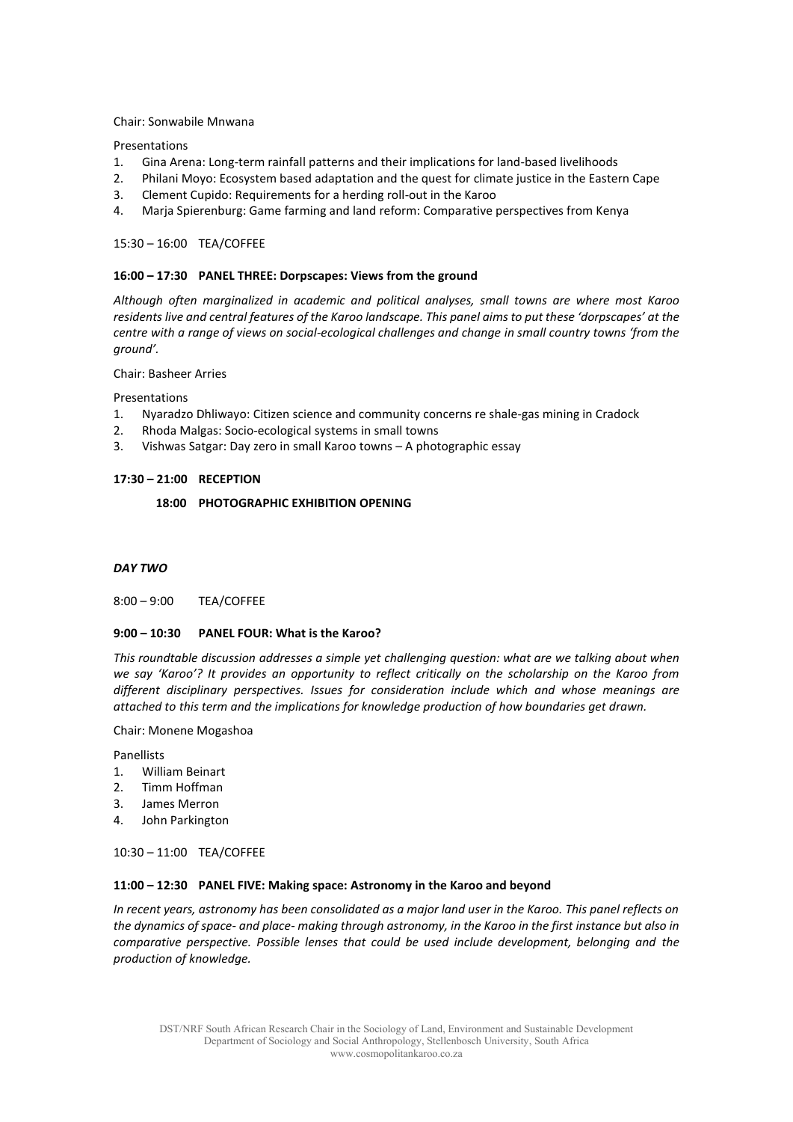#### Chair: Sonwabile Mnwana

Presentations

- 1. Gina Arena: Long-term rainfall patterns and their implications for land-based livelihoods
- 2. Philani Moyo: Ecosystem based adaptation and the quest for climate justice in the Eastern Cape
- 3. Clement Cupido: Requirements for a herding roll-out in the Karoo
- 4. Marja Spierenburg: Game farming and land reform: Comparative perspectives from Kenya

### 15:30 – 16:00 TEA/COFFEE

#### **16:00 – 17:30 PANEL THREE: Dorpscapes: Views from the ground**

*Although often marginalized in academic and political analyses, small towns are where most Karoo residents live and central features of the Karoo landscape. This panel aims to put these 'dorpscapes' at the centre with a range of views on social-ecological challenges and change in small country towns 'from the ground'.*

#### Chair: Basheer Arries

Presentations

- 1. Nyaradzo Dhliwayo: Citizen science and community concerns re shale-gas mining in Cradock
- 2. Rhoda Malgas: Socio-ecological systems in small towns
- 3. Vishwas Satgar: Day zero in small Karoo towns A photographic essay

### **17:30 – 21:00 RECEPTION**

## **18:00 PHOTOGRAPHIC EXHIBITION OPENING**

#### *DAY TWO*

8:00 – 9:00 TEA/COFFEE

#### **9:00 – 10:30 PANEL FOUR: What is the Karoo?**

*This roundtable discussion addresses a simple yet challenging question: what are we talking about when we say 'Karoo'? It provides an opportunity to reflect critically on the scholarship on the Karoo from different disciplinary perspectives. Issues for consideration include which and whose meanings are attached to this term and the implications for knowledge production of how boundaries get drawn.*

Chair: Monene Mogashoa

Panellists

- 1. William Beinart
- 2. Timm Hoffman
- 3. James Merron
- 4. John Parkington

### 10:30 – 11:00 TEA/COFFEE

#### **11:00 – 12:30 PANEL FIVE: Making space: Astronomy in the Karoo and beyond**

*In recent years, astronomy has been consolidated as a major land user in the Karoo. This panel reflects on the dynamics of space- and place- making through astronomy, in the Karoo in the first instance but also in comparative perspective. Possible lenses that could be used include development, belonging and the production of knowledge.*